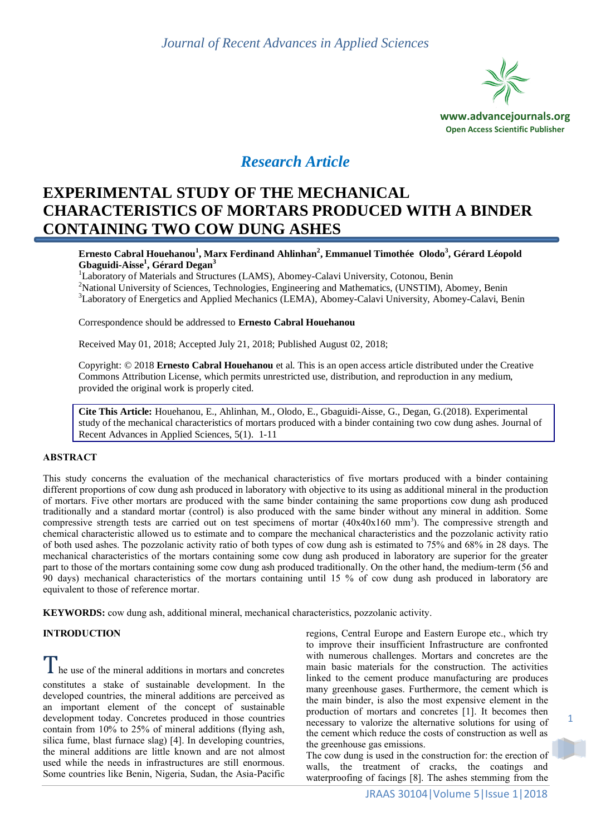

# *Research Article*

# **EXPERIMENTAL STUDY OF THE MECHANICAL CHARACTERISTICS OF MORTARS PRODUCED WITH A BINDER CONTAINING TWO COW DUNG ASHES**

**Ernesto Cabral Houehanou<sup>1</sup> , Marx Ferdinand Ahlinhan<sup>2</sup> , Emmanuel Timothée Olodo<sup>3</sup> , Gérard Léopold Gbaguidi-Aisse<sup>1</sup> , Gérard Degan<sup>3</sup>**

<sup>1</sup>Laboratory of Materials and Structures (LAMS), Abomey-Calavi University, Cotonou, Benin <sup>2</sup>National University of Sciences, Technologies, Engineering and Mathematics, (UNSTIM), Abomey, Benin <sup>3</sup>Laboratory of Energetics and Applied Mechanics (LEMA), Abomey-Calavi University, Abomey-Calavi, Benin

Correspondence should be addressed to **Ernesto Cabral Houehanou**

Received May 01, 2018; Accepted July 21, 2018; Published August 02, 2018;

Copyright: © 2018 **Ernesto Cabral Houehanou** et al. This is an open access article distributed under the Creative Commons Attribution License, which permits unrestricted use, distribution, and reproduction in any medium, provided the original work is properly cited.

**Cite This Article:** Houehanou, E., Ahlinhan, M., Olodo, E., Gbaguidi-Aisse, G., Degan, G.(2018). Experimental study of the mechanical characteristics of mortars produced with a binder containing two cow dung ashes. Journal of Recent Advances in Applied Sciences, 5(1). 1-11

### **ABSTRACT**

This study concerns the evaluation of the mechanical characteristics of five mortars produced with a binder containing different proportions of cow dung ash produced in laboratory with objective to its using as additional mineral in the production of mortars. Five other mortars are produced with the same binder containing the same proportions cow dung ash produced traditionally and a standard mortar (control) is also produced with the same binder without any mineral in addition. Some compressive strength tests are carried out on test specimens of mortar  $(40x40x160$  mm<sup>3</sup>). The compressive strength and chemical characteristic allowed us to estimate and to compare the mechanical characteristics and the pozzolanic activity ratio of both used ashes. The pozzolanic activity ratio of both types of cow dung ash is estimated to 75% and 68% in 28 days. The mechanical characteristics of the mortars containing some cow dung ash produced in laboratory are superior for the greater part to those of the mortars containing some cow dung ash produced traditionally. On the other hand, the medium-term (56 and 90 days) mechanical characteristics of the mortars containing until 15 % of cow dung ash produced in laboratory are equivalent to those of reference mortar.

**KEYWORDS:** cow dung ash, additional mineral, mechanical characteristics, pozzolanic activity.

### **INTRODUCTION**

 $\mathbf{l}$  he use of the mineral additions in mortars and concretes constitutes a stake of sustainable development. In the developed countries, the mineral additions are perceived as an important element of the concept of sustainable development today. Concretes produced in those countries contain from 10% to 25% of mineral additions (flying ash, silica fume, blast furnace slag) [4]. In developing countries, the mineral additions are little known and are not almost used while the needs in infrastructures are still enormous. Some countries like Benin, Nigeria, Sudan, the Asia-Pacific

regions, Central Europe and Eastern Europe etc., which try to improve their insufficient Infrastructure are confronted with numerous challenges. Mortars and concretes are the main basic materials for the construction. The activities linked to the cement produce manufacturing are produces many greenhouse gases. Furthermore, the cement which is the main binder, is also the most expensive element in the production of mortars and concretes [1]. It becomes then necessary to valorize the alternative solutions for using of the cement which reduce the costs of construction as well as the greenhouse gas emissions.

The cow dung is used in the construction for: the erection of walls, the treatment of cracks, the coatings and waterproofing of facings [8]. The ashes stemming from the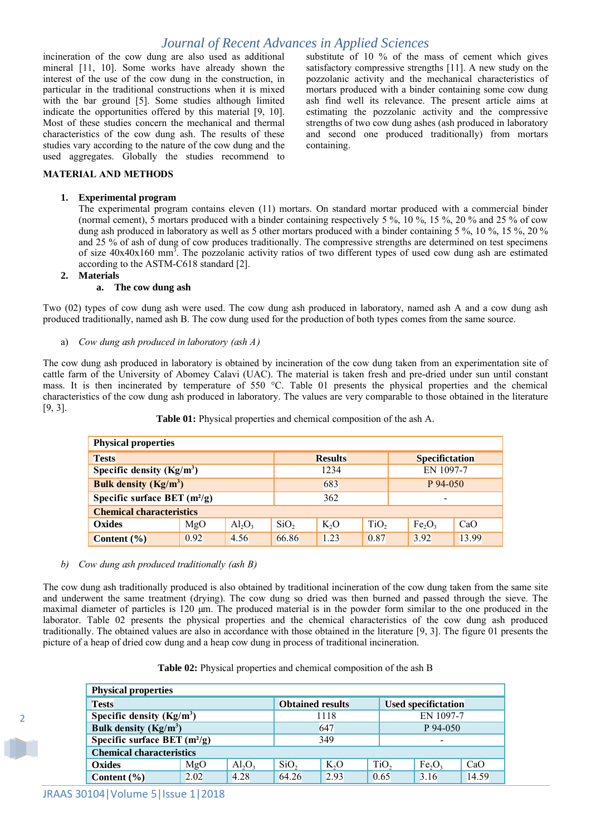incineration of the cow dung are also used as additional mineral [11, 10]. Some works have already shown the interest of the use of the cow dung in the construction, in particular in the traditional constructions when it is mixed with the bar ground [5]. Some studies although limited indicate the opportunities offered by this material [9, 10]. Most of these studies concern the mechanical and thermal characteristics of the cow dung ash. The results of these studies vary according to the nature of the cow dung and the used aggregates. Globally the studies recommend to substitute of 10 % of the mass of cement which gives satisfactory compressive strengths [11]. A new study on the pozzolanic activity and the mechanical characteristics of mortars produced with a binder containing some cow dung ash find well its relevance. The present article aims at estimating the pozzolanic activity and the compressive strengths of two cow dung ashes (ash produced in laboratory and second one produced traditionally) from mortars containing.

#### **MATERIAL AND METHODS**

#### **1. Experimental program**

The experimental program contains eleven (11) mortars. On standard mortar produced with a commercial binder (normal cement), 5 mortars produced with a binder containing respectively 5 %, 10 %, 15 %, 20 % and 25 % of cow dung ash produced in laboratory as well as 5 other mortars produced with a binder containing 5 %, 10 %, 15 %, 20 % and 25 % of ash of dung of cow produces traditionally. The compressive strengths are determined on test specimens of size  $40x40x160$  mm<sup>3</sup>. The pozzolanic activity ratios of two different types of used cow dung ash are estimated according to the ASTM-C618 standard [2].

#### **2. Materials**

#### **a. The cow dung ash**

Two (02) types of cow dung ash were used. The cow dung ash produced in laboratory, named ash A and a cow dung ash produced traditionally, named ash B. The cow dung used for the production of both types comes from the same source.

a) *Cow dung ash produced in laboratory (ash A)*

The cow dung ash produced in laboratory is obtained by incineration of the cow dung taken from an experimentation site of cattle farm of the University of Abomey Calavi (UAC). The material is taken fresh and pre-dried under sun until constant mass. It is then incinerated by temperature of 550 °C. Table 01 presents the physical properties and the chemical characteristics of the cow dung ash produced in laboratory. The values are very comparable to those obtained in the literature [9, 3].

| <b>Physical properties</b>        |                |      |                  |                          |                  |                                |       |  |  |
|-----------------------------------|----------------|------|------------------|--------------------------|------------------|--------------------------------|-------|--|--|
| <b>Tests</b>                      | <b>Results</b> |      |                  | Specifictation           |                  |                                |       |  |  |
| Specific density $(Kg/m^3)$       | 1234           |      |                  | EN 1097-7                |                  |                                |       |  |  |
| Bulk density $(Kg/m^3)$           | 683            |      |                  | $P_{94-050}$             |                  |                                |       |  |  |
| Specific surface BET $(m^2/g)$    | 362            |      |                  | $\overline{\phantom{0}}$ |                  |                                |       |  |  |
| <b>Chemical characteristics</b>   |                |      |                  |                          |                  |                                |       |  |  |
| <b>Oxides</b><br>MgO<br>$Al_2O_3$ |                |      | SiO <sub>2</sub> | $K_2O$                   | TiO <sub>2</sub> | Fe <sub>2</sub> O <sub>3</sub> | CaO   |  |  |
| Content $(\% )$                   | 0.92           | 4.56 | 66.86            | 1.23                     | 0.87             | 3.92                           | 13.99 |  |  |

**Table 01:** Physical properties and chemical composition of the ash A.

#### *b) Cow dung ash produced traditionally (ash B)*

The cow dung ash traditionally produced is also obtained by traditional incineration of the cow dung taken from the same site and underwent the same treatment (drying). The cow dung so dried was then burned and passed through the sieve. The maximal diameter of particles is 120  $\mu$ m. The produced material is in the powder form similar to the one produced in the laborator. Table 02 presents the physical properties and the chemical characteristics of the cow dung ash produced traditionally. The obtained values are also in accordance with those obtained in the literature [9, 3]. The figure 01 presents the picture of a heap of dried cow dung and a heap cow dung in process of traditional incineration.

| <b>Physical properties</b>        |      |      |                         |                          |                  |                                |       |  |  |
|-----------------------------------|------|------|-------------------------|--------------------------|------------------|--------------------------------|-------|--|--|
| <b>Tests</b>                      |      |      | <b>Obtained results</b> |                          |                  | <b>Used specifictation</b>     |       |  |  |
| Specific density $(Kg/m3)$        |      | 1118 |                         | EN 1097-7                |                  |                                |       |  |  |
| Bulk density $(Kg/m^3)$           |      | 647  |                         | P 94-050                 |                  |                                |       |  |  |
| Specific surface BET $(m^2/g)$    |      | 349  |                         | $\overline{\phantom{0}}$ |                  |                                |       |  |  |
| <b>Chemical characteristics</b>   |      |      |                         |                          |                  |                                |       |  |  |
| $Al_2O_3$<br>MgO<br><b>Oxides</b> |      |      | SiO <sub>2</sub>        | K <sub>2</sub> O         | TiO <sub>2</sub> | Fe <sub>2</sub> O <sub>3</sub> | CaO   |  |  |
| Content $(\% )$                   | 2.02 | 4.28 | 64.26                   | 2.93                     | 0.65             | 3.16                           | 14.59 |  |  |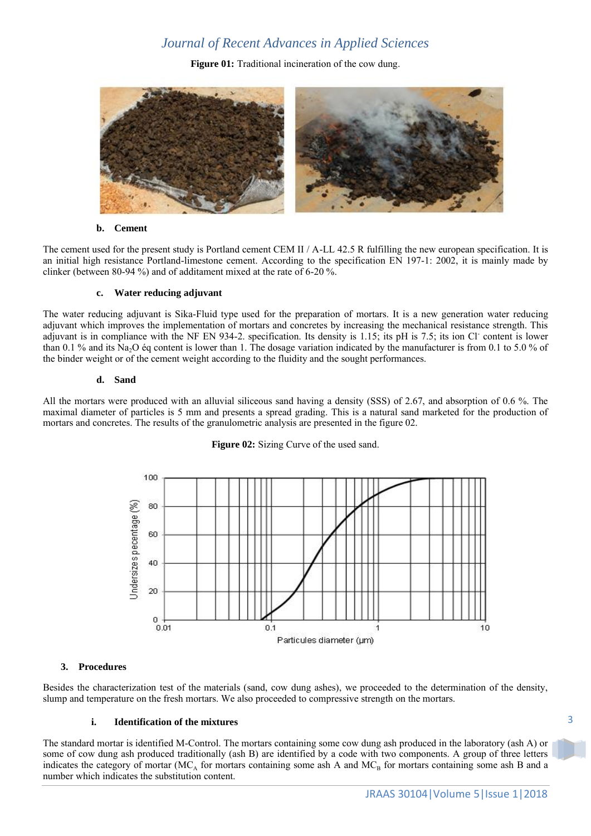**Figure 01:** Traditional incineration of the cow dung.



#### **b. Cement**

The cement used for the present study is Portland cement CEM II / A-LL 42.5 R fulfilling the new european specification. It is an initial high resistance Portland-limestone cement. According to the specification EN 197-1: 2002, it is mainly made by clinker (between 80-94 %) and of additament mixed at the rate of 6-20 %.

#### **c. Water reducing adjuvant**

The water reducing adjuvant is Sika-Fluid type used for the preparation of mortars. It is a new generation water reducing adjuvant which improves the implementation of mortars and concretes by increasing the mechanical resistance strength. This adjuvant is in compliance with the NF EN 934-2. specification. Its density is 1.15; its pH is 7.5; its ion Cl content is lower than 0.1 % and its Na<sub>2</sub>O éq content is lower than 1. The dosage variation indicated by the manufacturer is from 0.1 to 5.0 % of the binder weight or of the cement weight according to the fluidity and the sought performances.

#### **d. Sand**

All the mortars were produced with an alluvial siliceous sand having a density (SSS) of 2.67, and absorption of 0.6 %. The maximal diameter of particles is 5 mm and presents a spread grading. This is a natural sand marketed for the production of mortars and concretes. The results of the granulometric analysis are presented in the figure 02.



#### **Figure 02:** Sizing Curve of the used sand.

### **3. Procedures**

Besides the characterization test of the materials (sand, cow dung ashes), we proceeded to the determination of the density, slump and temperature on the fresh mortars. We also proceeded to compressive strength on the mortars.

### **i. Identification of the mixtures**

The standard mortar is identified M-Control. The mortars containing some cow dung ash produced in the laboratory (ash A) or some of cow dung ash produced traditionally (ash B) are identified by a code with two components. A group of three letters indicates the category of mortar ( $MC_A$  for mortars containing some ash A and  $MC_B$  for mortars containing some ash B and a number which indicates the substitution content.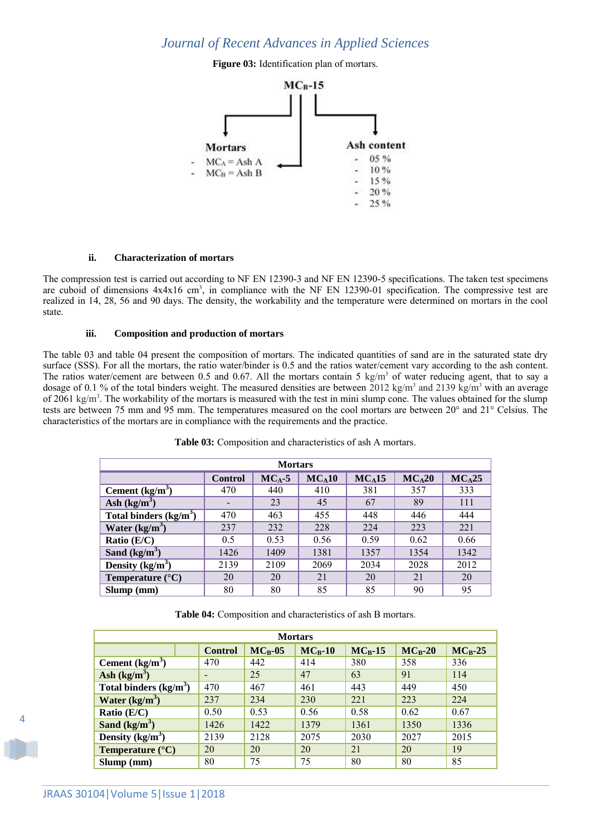**Figure 03:** Identification plan of mortars.



#### **ii. Characterization of mortars**

The compression test is carried out according to NF EN 12390-3 and NF EN 12390-5 specifications. The taken test specimens are cuboid of dimensions  $4x4x16$  cm<sup>3</sup>, in compliance with the NF EN 12390-01 specification. The compressive test are realized in 14, 28, 56 and 90 days. The density, the workability and the temperature were determined on mortars in the cool state.

## **iii. Composition and production of mortars**

The table 03 and table 04 present the composition of mortars. The indicated quantities of sand are in the saturated state dry surface (SSS). For all the mortars, the ratio water/binder is 0.5 and the ratios water/cement vary according to the ash content. The ratios water/cement are between 0.5 and 0.67. All the mortars contain 5 kg/m<sup>3</sup> of water reducing agent, that to say a dosage of 0.1 % of the total binders weight. The measured densities are between 2012 kg/m<sup>3</sup> and 2139 kg/m<sup>3</sup> with an average of 2061 kg/m<sup>3</sup>. The workability of the mortars is measured with the test in mini slump cone. The values obtained for the slump tests are between 75 mm and 95 mm. The temperatures measured on the cool mortars are between 20° and 21° Celsius. The characteristics of the mortars are in compliance with the requirements and the practice.

| <b>Mortars</b>                 |                                                                            |      |      |      |      |      |  |  |  |  |
|--------------------------------|----------------------------------------------------------------------------|------|------|------|------|------|--|--|--|--|
|                                | $MC_A20$<br>$MC_A25$<br>$MC_A10$<br>$MC_A15$<br>$MC_A-5$<br><b>Control</b> |      |      |      |      |      |  |  |  |  |
| Cement $(kg/m3)$               | 470                                                                        | 440  | 410  | 381  | 357  | 333  |  |  |  |  |
| Ash $(kg/m^3)$                 | $\overline{\phantom{0}}$                                                   | 23   | 45   | 67   | 89   | 111  |  |  |  |  |
| Total binders $\frac{kg}{m^3}$ | 470                                                                        | 463  | 455  | 448  | 446  | 444  |  |  |  |  |
| Water $(kg/m^3)$               | 237                                                                        | 232  | 228  | 224  | 223  | 221  |  |  |  |  |
| Ratio (E/C)                    | 0.5                                                                        | 0.53 | 0.56 | 0.59 | 0.62 | 0.66 |  |  |  |  |
| Sand $(kg/m^3)$                | 1426                                                                       | 1409 | 1381 | 1357 | 1354 | 1342 |  |  |  |  |
| Density $(kg/m^3)$             | 2139                                                                       | 2109 | 2069 | 2034 | 2028 | 2012 |  |  |  |  |
| Temperature $(^{\circ}C)$      | 20                                                                         | 20   | 21   | 20   | 21   | 20   |  |  |  |  |
| Slump(mm)                      | 80                                                                         | 80   | 85   | 85   | 90   | 95   |  |  |  |  |

Table 03: Composition and characteristics of ash A mortars.

**Table 04:** Composition and characteristics of ash B mortars.

| <b>Mortars</b>            |                |              |              |              |              |           |  |  |  |
|---------------------------|----------------|--------------|--------------|--------------|--------------|-----------|--|--|--|
|                           | <b>Control</b> | $MC_{R}$ -05 | $MC_{R}$ -10 | $MC_{R}$ -15 | $MC_{R}$ -20 | $MC_B-25$ |  |  |  |
| Cement $(kg/m3)$          | 470            | 442          | 414          | 380          | 358          | 336       |  |  |  |
| Ash $(kg/m^3)$            |                | 25           | 47           | 63           | 91           | 114       |  |  |  |
| Total binders $(kg/m3)$   | 470            | 467          | 461          | 443          | 449          | 450       |  |  |  |
| Water $(kg/m3)$           | 237            | 234          | 230          | 221          | 223          | 224       |  |  |  |
| Ratio $(E/C)$             | 0.50           | 0.53         | 0.56         | 0.58         | 0.62         | 0.67      |  |  |  |
| Sand $(kg/m^3)$           | 1426           | 1422         | 1379         | 1361         | 1350         | 1336      |  |  |  |
| Density $(kg/m3)$         | 2139           | 2128         | 2075         | 2030         | 2027         | 2015      |  |  |  |
| Temperature $(^{\circ}C)$ | 20             | 20           | 20           | 21           | 20           | 19        |  |  |  |
| $Slump$ (mm)              | 80             | 75           | 75           | 80           | 80           | 85        |  |  |  |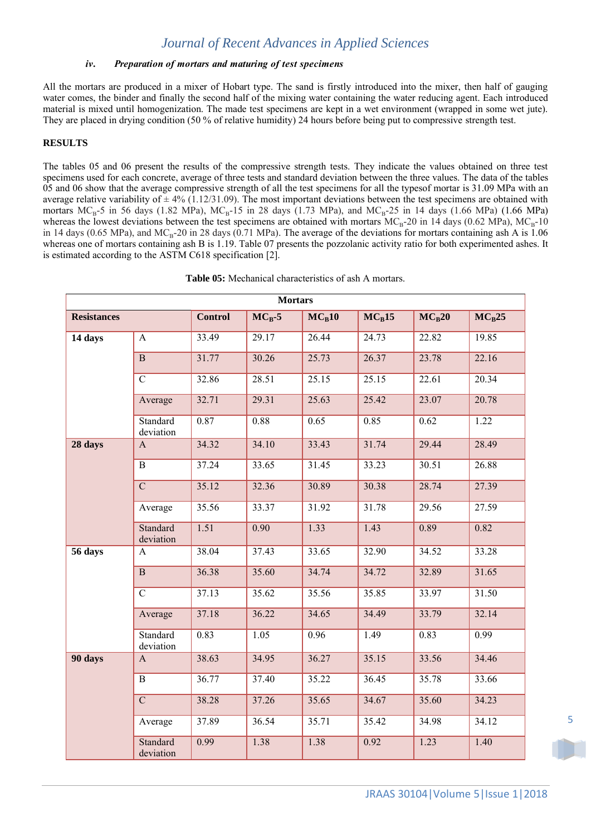### *iv. Preparation of mortars and maturing of test specimens*

All the mortars are produced in a mixer of Hobart type. The sand is firstly introduced into the mixer, then half of gauging water comes, the binder and finally the second half of the mixing water containing the water reducing agent. Each introduced material is mixed until homogenization. The made test specimens are kept in a wet environment (wrapped in some wet jute). They are placed in drying condition (50 % of relative humidity) 24 hours before being put to compressive strength test.

### **RESULTS**

The tables 05 and 06 present the results of the compressive strength tests. They indicate the values obtained on three test specimens used for each concrete, average of three tests and standard deviation between the three values. The data of the tables 05 and 06 show that the average compressive strength of all the test specimens for all the typesof mortar is 31.09 MPa with an average relative variability of  $\pm 4\%$  (1.12/31.09). The most important deviations between the test specimens are obtained with mortars  $MC_B-5$  in 56 days (1.82 MPa),  $MC_B-15$  in 28 days (1.73 MPa), and  $MC_B-25$  in 14 days (1.66 MPa) (1.66 MPa) whereas the lowest deviations between the test specimens are obtained with mortars  $MC_B-20$  in 14 days (0.62 MPa),  $MC_B-10$ in 14 days (0.65 MPa), and  $MC_B-20$  in 28 days (0.71 MPa). The average of the deviations for mortars containing ash A is 1.06 whereas one of mortars containing ash B is 1.19. Table 07 presents the pozzolanic activity ratio for both experimented ashes. It is estimated according to the ASTM C618 specification [2].

| Table 05: Mechanical characteristics of ash A mortars. |
|--------------------------------------------------------|
|                                                        |

| <b>Mortars</b>     |                              |                |                   |          |          |          |          |  |  |  |
|--------------------|------------------------------|----------------|-------------------|----------|----------|----------|----------|--|--|--|
| <b>Resistances</b> |                              | <b>Control</b> | $MC_B-5$          | $MC_R10$ | $MC_B15$ | $MC_B20$ | $MC_B25$ |  |  |  |
| 14 days            | A                            | 33.49          | 29.17             | 26.44    | 24.73    | 22.82    | 19.85    |  |  |  |
|                    | $\overline{B}$               | 31.77          | 30.26             | 25.73    | 26.37    | 23.78    | 22.16    |  |  |  |
|                    | $\mathbf C$                  | 32.86          | 28.51             | 25.15    | 25.15    | 22.61    | 20.34    |  |  |  |
|                    | Average                      | 32.71          | 29.31             | 25.63    | 25.42    | 23.07    | 20.78    |  |  |  |
|                    | Standard<br>deviation        | 0.87           | 0.88              | 0.65     | 0.85     | 0.62     | 1.22     |  |  |  |
| 28 days            | $\mathbf{A}$                 | 34.32          | 34.10             | 33.43    | 31.74    | 29.44    | 28.49    |  |  |  |
|                    | $\overline{B}$               | 37.24          | 33.65             | 31.45    | 33.23    | 30.51    | 26.88    |  |  |  |
|                    | $\overline{C}$               | 35.12          | 32.36             | 30.89    | 30.38    | 28.74    | 27.39    |  |  |  |
|                    | Average                      | 35.56          | 33.37             | 31.92    | 31.78    | 29.56    | 27.59    |  |  |  |
|                    | <b>Standard</b><br>deviation | 1.51           | 0.90              | 1.33     | 1.43     | 0.89     | 0.82     |  |  |  |
| 56 days            | A                            | 38.04          | 37.43             | 33.65    | 32.90    | 34.52    | 33.28    |  |  |  |
|                    | $\, {\bf B}$                 | 36.38          | 35.60             | 34.74    | 34.72    | 32.89    | 31.65    |  |  |  |
|                    | $\overline{C}$               | 37.13          | 35.62             | 35.56    | 35.85    | 33.97    | 31.50    |  |  |  |
|                    | Average                      | 37.18          | 36.22             | 34.65    | 34.49    | 33.79    | 32.14    |  |  |  |
|                    | Standard<br>deviation        | 0.83           | $\overline{1.05}$ | 0.96     | 1.49     | 0.83     | 0.99     |  |  |  |
| 90 days            | $\mathbf{A}$                 | 38.63          | 34.95             | 36.27    | 35.15    | 33.56    | 34.46    |  |  |  |
|                    | $\overline{B}$               | 36.77          | 37.40             | 35.22    | 36.45    | 35.78    | 33.66    |  |  |  |
|                    | $\overline{C}$               | 38.28          | 37.26             | 35.65    | 34.67    | 35.60    | 34.23    |  |  |  |
|                    | Average                      | 37.89          | 36.54             | 35.71    | 35.42    | 34.98    | 34.12    |  |  |  |
|                    | <b>Standard</b><br>deviation | 0.99           | 1.38              | 1.38     | 0.92     | 1.23     | 1.40     |  |  |  |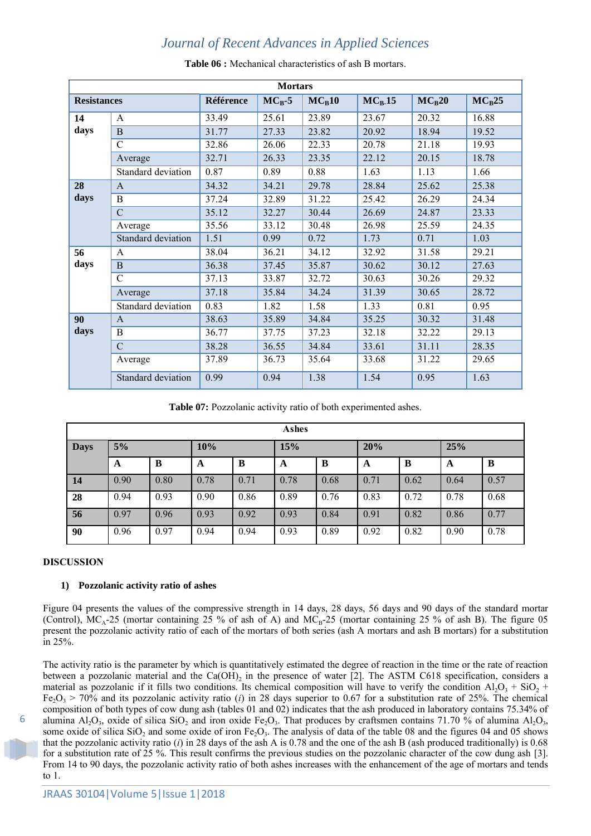| <b>Mortars</b>     |                    |                  |          |          |                    |          |          |  |  |
|--------------------|--------------------|------------------|----------|----------|--------------------|----------|----------|--|--|
| <b>Resistances</b> |                    | <b>Référence</b> | $MC_B-5$ | $MC_B10$ | MC <sub>B</sub> 15 | $MC_B20$ | $MC_B25$ |  |  |
| 14                 | $\mathsf{A}$       | 33.49            | 25.61    | 23.89    | 23.67              | 20.32    | 16.88    |  |  |
| days               | B                  | 31.77            | 27.33    | 23.82    | 20.92              | 18.94    | 19.52    |  |  |
|                    | $\overline{C}$     | 32.86            | 26.06    | 22.33    | 20.78              | 21.18    | 19.93    |  |  |
|                    | Average            | 32.71            | 26.33    | 23.35    | 22.12              | 20.15    | 18.78    |  |  |
|                    | Standard deviation | 0.87             | 0.89     | 0.88     | 1.63               | 1.13     | 1.66     |  |  |
| 28                 | $\mathsf{A}$       | 34.32            | 34.21    | 29.78    | 28.84              | 25.62    | 25.38    |  |  |
| days               | B                  | 37.24            | 32.89    | 31.22    | 25.42              | 26.29    | 24.34    |  |  |
|                    | $\overline{C}$     | 35.12            | 32.27    | 30.44    | 26.69              | 24.87    | 23.33    |  |  |
|                    | Average            | 35.56            | 33.12    | 30.48    | 26.98              | 25.59    | 24.35    |  |  |
|                    | Standard deviation | 1.51             | 0.99     | 0.72     | 1.73               | 0.71     | 1.03     |  |  |
| 56                 | A                  | 38.04            | 36.21    | 34.12    | 32.92              | 31.58    | 29.21    |  |  |
| days               | B                  | 36.38            | 37.45    | 35.87    | 30.62              | 30.12    | 27.63    |  |  |
|                    | $\overline{C}$     | 37.13            | 33.87    | 32.72    | 30.63              | 30.26    | 29.32    |  |  |
|                    | Average            | 37.18            | 35.84    | 34.24    | 31.39              | 30.65    | 28.72    |  |  |
|                    | Standard deviation | 0.83             | 1.82     | 1.58     | 1.33               | 0.81     | 0.95     |  |  |
| 90                 | $\mathbf{A}$       | 38.63            | 35.89    | 34.84    | 35.25              | 30.32    | 31.48    |  |  |
| days               | B                  | 36.77            | 37.75    | 37.23    | 32.18              | 32.22    | 29.13    |  |  |
|                    | $\overline{C}$     | 38.28            | 36.55    | 34.84    | 33.61              | 31.11    | 28.35    |  |  |
|                    | Average            | 37.89            | 36.73    | 35.64    | 33.68              | 31.22    | 29.65    |  |  |
|                    | Standard deviation | 0.99             | 0.94     | 1.38     | 1.54               | 0.95     | 1.63     |  |  |

**Table 06 :** Mechanical characteristics of ash B mortars.

**Table 07:** Pozzolanic activity ratio of both experimented ashes.

| Ashes       |      |      |      |      |      |      |      |      |      |      |
|-------------|------|------|------|------|------|------|------|------|------|------|
| <b>Days</b> | 5%   |      | 10%  |      | 15%  |      | 20%  |      | 25%  |      |
|             | A    | B    | A    | B    | A    | B    | A    | B    | A    | B    |
| 14          | 0.90 | 0.80 | 0.78 | 0.71 | 0.78 | 0.68 | 0.71 | 0.62 | 0.64 | 0.57 |
| 28          | 0.94 | 0.93 | 0.90 | 0.86 | 0.89 | 0.76 | 0.83 | 0.72 | 0.78 | 0.68 |
| 56          | 0.97 | 0.96 | 0.93 | 0.92 | 0.93 | 0.84 | 0.91 | 0.82 | 0.86 | 0.77 |
| 90          | 0.96 | 0.97 | 0.94 | 0.94 | 0.93 | 0.89 | 0.92 | 0.82 | 0.90 | 0.78 |

### **DISCUSSION**

## **1) Pozzolanic activity ratio of ashes**

Figure 04 presents the values of the compressive strength in 14 days, 28 days, 56 days and 90 days of the standard mortar (Control),  $MC_A-25$  (mortar containing 25 % of ash of A) and  $MC_B-25$  (mortar containing 25 % of ash B). The figure 05 present the pozzolanic activity ratio of each of the mortars of both series (ash A mortars and ash B mortars) for a substitution in 25%.

The activity ratio is the parameter by which is quantitatively estimated the degree of reaction in the time or the rate of reaction between a pozzolanic material and the  $Ca(OH)_2$  in the presence of water [2]. The ASTM C618 specification, considers a material as pozzolanic if it fills two conditions. Its chemical composition will have to verify the condition  $Al_2O_3 + SiO_2 +$  $Fe<sub>2</sub>O<sub>3</sub> > 70%$  and its pozzolanic activity ratio (*i*) in 28 days superior to 0.67 for a substitution rate of 25%. The chemical composition of both types of cow dung ash (tables 01 and 02) indicates that the ash produced in laboratory contains 75.34% of alumina  $Al_2O_3$ , oxide of silica  $SiO_2$  and iron oxide Fe<sub>2</sub>O<sub>3</sub>. That produces by craftsmen contains 71.70 % of alumina  $Al_2O_3$ , some oxide of silica  $SiO_2$  and some oxide of iron  $Fe_2O_3$ . The analysis of data of the table 08 and the figures 04 and 05 shows that the pozzolanic activity ratio (*i*) in 28 days of the ash A is 0.78 and the one of the ash B (ash produced traditionally) is 0.68 for a substitution rate of 25 %. This result confirms the previous studies on the pozzolanic character of the cow dung ash [3]. From 14 to 90 days, the pozzolanic activity ratio of both ashes increases with the enhancement of the age of mortars and tends to 1.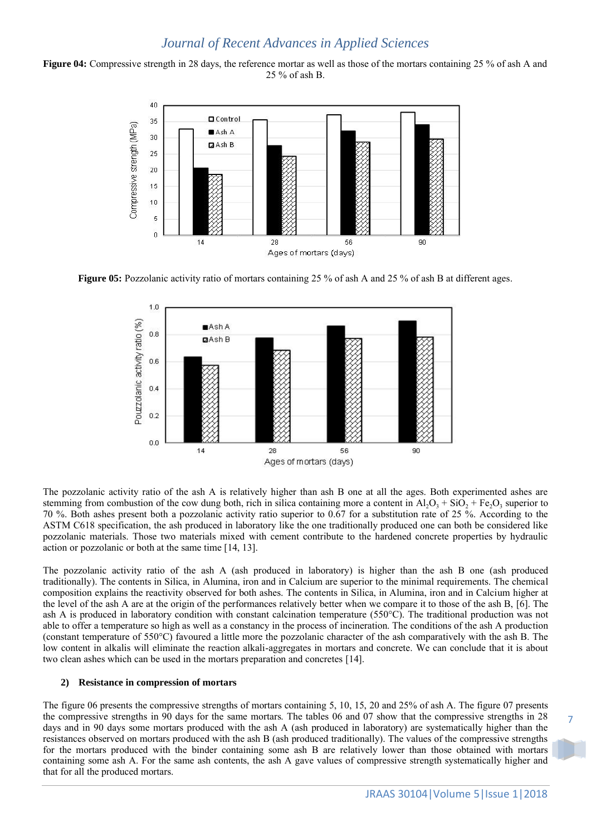**Figure 04:** Compressive strength in 28 days, the reference mortar as well as those of the mortars containing 25 % of ash A and 25 % of ash B.



**Figure 05:** Pozzolanic activity ratio of mortars containing 25 % of ash A and 25 % of ash B at different ages.



The pozzolanic activity ratio of the ash A is relatively higher than ash B one at all the ages. Both experimented ashes are stemming from combustion of the cow dung both, rich in silica containing more a content in  $Al_2O_3 + SiO_2 + Fe_2O_3$  superior to 70 %. Both ashes present both a pozzolanic activity ratio superior to 0.67 for a substitution rate of 25 %. According to the ASTM C618 specification, the ash produced in laboratory like the one traditionally produced one can both be considered like pozzolanic materials. Those two materials mixed with cement contribute to the hardened concrete properties by hydraulic action or pozzolanic or both at the same time [14, 13].

The pozzolanic activity ratio of the ash A (ash produced in laboratory) is higher than the ash B one (ash produced traditionally). The contents in Silica, in Alumina, iron and in Calcium are superior to the minimal requirements. The chemical composition explains the reactivity observed for both ashes. The contents in Silica, in Alumina, iron and in Calcium higher at the level of the ash A are at the origin of the performances relatively better when we compare it to those of the ash B, [6]. The ash A is produced in laboratory condition with constant calcination temperature (550°C). The traditional production was not able to offer a temperature so high as well as a constancy in the process of incineration. The conditions of the ash A production (constant temperature of 550°C) favoured a little more the pozzolanic character of the ash comparatively with the ash B. The low content in alkalis will eliminate the reaction alkali-aggregates in mortars and concrete. We can conclude that it is about two clean ashes which can be used in the mortars preparation and concretes [14].

### **2) Resistance in compression of mortars**

The figure 06 presents the compressive strengths of mortars containing 5, 10, 15, 20 and 25% of ash A. The figure 07 presents the compressive strengths in 90 days for the same mortars. The tables 06 and 07 show that the compressive strengths in 28 days and in 90 days some mortars produced with the ash A (ash produced in laboratory) are systematically higher than the resistances observed on mortars produced with the ash B (ash produced traditionally). The values of the compressive strengths for the mortars produced with the binder containing some ash B are relatively lower than those obtained with mortars containing some ash A. For the same ash contents, the ash A gave values of compressive strength systematically higher and that for all the produced mortars.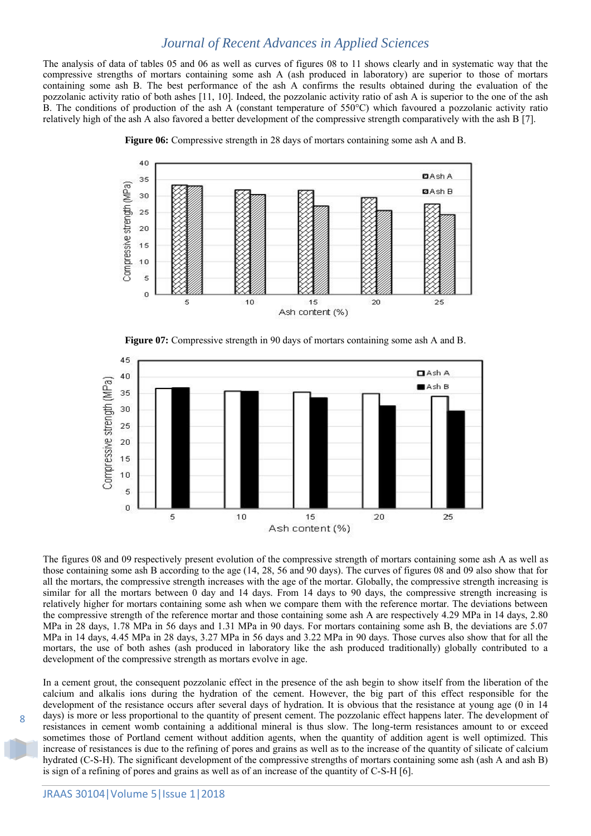The analysis of data of tables 05 and 06 as well as curves of figures 08 to 11 shows clearly and in systematic way that the compressive strengths of mortars containing some ash A (ash produced in laboratory) are superior to those of mortars containing some ash B. The best performance of the ash A confirms the results obtained during the evaluation of the pozzolanic activity ratio of both ashes [11, 10]. Indeed, the pozzolanic activity ratio of ash A is superior to the one of the ash B. The conditions of production of the ash A (constant temperature of 550°C) which favoured a pozzolanic activity ratio relatively high of the ash A also favored a better development of the compressive strength comparatively with the ash B [7].



**Figure 06:** Compressive strength in 28 days of mortars containing some ash A and B.

**Figure 07:** Compressive strength in 90 days of mortars containing some ash A and B.



The figures 08 and 09 respectively present evolution of the compressive strength of mortars containing some ash A as well as those containing some ash B according to the age (14, 28, 56 and 90 days). The curves of figures 08 and 09 also show that for all the mortars, the compressive strength increases with the age of the mortar. Globally, the compressive strength increasing is similar for all the mortars between 0 day and 14 days. From 14 days to 90 days, the compressive strength increasing is relatively higher for mortars containing some ash when we compare them with the reference mortar. The deviations between the compressive strength of the reference mortar and those containing some ash A are respectively 4.29 MPa in 14 days, 2.80 MPa in 28 days, 1.78 MPa in 56 days and 1.31 MPa in 90 days. For mortars containing some ash B, the deviations are 5.07 MPa in 14 days, 4.45 MPa in 28 days, 3.27 MPa in 56 days and 3.22 MPa in 90 days. Those curves also show that for all the mortars, the use of both ashes (ash produced in laboratory like the ash produced traditionally) globally contributed to a development of the compressive strength as mortars evolve in age.

In a cement grout, the consequent pozzolanic effect in the presence of the ash begin to show itself from the liberation of the calcium and alkalis ions during the hydration of the cement. However, the big part of this effect responsible for the development of the resistance occurs after several days of hydration. It is obvious that the resistance at young age (0 in 14 days) is more or less proportional to the quantity of present cement. The pozzolanic effect happens later. The development of resistances in cement womb containing a additional mineral is thus slow. The long-term resistances amount to or exceed sometimes those of Portland cement without addition agents, when the quantity of addition agent is well optimized. This increase of resistances is due to the refining of pores and grains as well as to the increase of the quantity of silicate of calcium hydrated (C-S-H). The significant development of the compressive strengths of mortars containing some ash (ash A and ash B) is sign of a refining of pores and grains as well as of an increase of the quantity of C-S-H [6].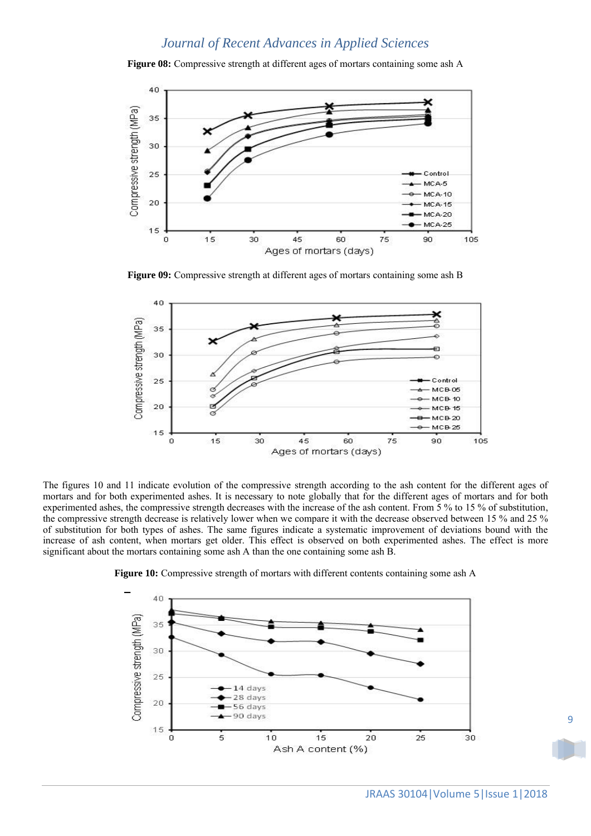**Figure 08:** Compressive strength at different ages of mortars containing some ash A



**Figure 09:** Compressive strength at different ages of mortars containing some ash B



The figures 10 and 11 indicate evolution of the compressive strength according to the ash content for the different ages of mortars and for both experimented ashes. It is necessary to note globally that for the different ages of mortars and for both experimented ashes, the compressive strength decreases with the increase of the ash content. From 5 % to 15 % of substitution, the compressive strength decrease is relatively lower when we compare it with the decrease observed between 15 % and 25 % of substitution for both types of ashes. The same figures indicate a systematic improvement of deviations bound with the increase of ash content, when mortars get older. This effect is observed on both experimented ashes. The effect is more significant about the mortars containing some ash A than the one containing some ash B.



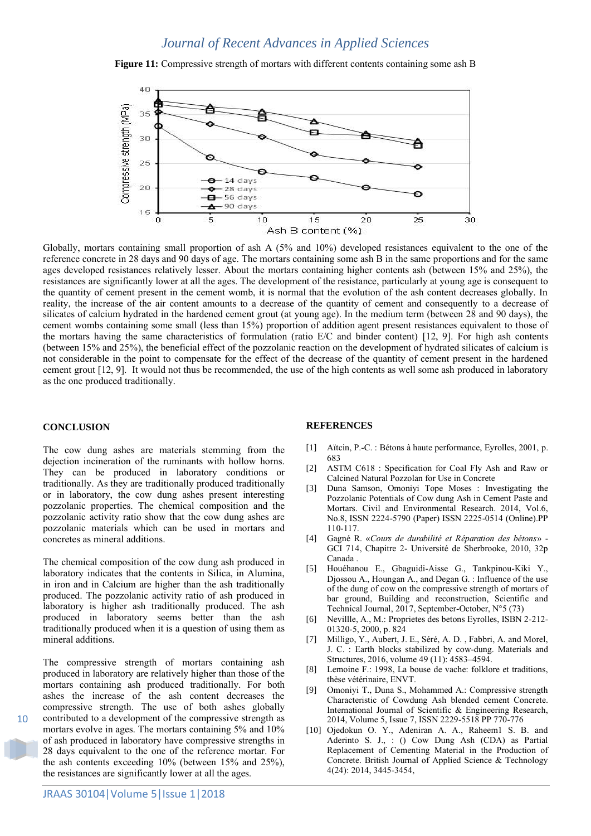**Figure 11:** Compressive strength of mortars with different contents containing some ash B



Globally, mortars containing small proportion of ash A (5% and 10%) developed resistances equivalent to the one of the reference concrete in 28 days and 90 days of age. The mortars containing some ash B in the same proportions and for the same ages developed resistances relatively lesser. About the mortars containing higher contents ash (between 15% and 25%), the resistances are significantly lower at all the ages. The development of the resistance, particularly at young age is consequent to the quantity of cement present in the cement womb, it is normal that the evolution of the ash content decreases globally. In reality, the increase of the air content amounts to a decrease of the quantity of cement and consequently to a decrease of silicates of calcium hydrated in the hardened cement grout (at young age). In the medium term (between 28 and 90 days), the cement wombs containing some small (less than 15%) proportion of addition agent present resistances equivalent to those of the mortars having the same characteristics of formulation (ratio E/C and binder content) [12, 9]. For high ash contents (between 15% and 25%), the beneficial effect of the pozzolanic reaction on the development of hydrated silicates of calcium is not considerable in the point to compensate for the effect of the decrease of the quantity of cement present in the hardened cement grout [12, 9]. It would not thus be recommended, the use of the high contents as well some ash produced in laboratory as the one produced traditionally.

#### **CONCLUSION**

The cow dung ashes are materials stemming from the dejection incineration of the ruminants with hollow horns. They can be produced in laboratory conditions or traditionally. As they are traditionally produced traditionally or in laboratory, the cow dung ashes present interesting pozzolanic properties. The chemical composition and the pozzolanic activity ratio show that the cow dung ashes are pozzolanic materials which can be used in mortars and concretes as mineral additions.

The chemical composition of the cow dung ash produced in laboratory indicates that the contents in Silica, in Alumina, in iron and in Calcium are higher than the ash traditionally produced. The pozzolanic activity ratio of ash produced in laboratory is higher ash traditionally produced. The ash produced in laboratory seems better than the ash traditionally produced when it is a question of using them as mineral additions.

The compressive strength of mortars containing ash produced in laboratory are relatively higher than those of the mortars containing ash produced traditionally. For both ashes the increase of the ash content decreases the compressive strength. The use of both ashes globally contributed to a development of the compressive strength as mortars evolve in ages. The mortars containing 5% and 10% of ash produced in laboratory have compressive strengths in 28 days equivalent to the one of the reference mortar. For the ash contents exceeding 10% (between 15% and 25%), the resistances are significantly lower at all the ages.

#### **REFERENCES**

- [1] Aïtcin, P.-C. : Bétons à haute performance, Eyrolles, 2001, p. 683
- [2] ASTM C618 : Specification for Coal Fly Ash and Raw or Calcined Natural Pozzolan for Use in Concrete
- [3] Duna Samson, Omoniyi Tope Moses : Investigating the Pozzolanic Potentials of Cow dung Ash in Cement Paste and Mortars. Civil and Environmental Research. 2014, Vol.6, No.8, ISSN 2224-5790 (Paper) ISSN 2225-0514 (Online).PP 110-117.
- [4] Gagné R. «*Cours de durabilité et Réparation des bétons*» GCI 714, Chapitre 2- Université de Sherbrooke, 2010, 32p Canada .
- [5] Houéhanou E., Gbaguidi-Aisse G., Tankpinou-Kiki Y., Djossou A., Houngan A., and Degan G. : Influence of the use of the dung of cow on the compressive strength of mortars of bar ground, Building and reconstruction, Scientific and Technical Journal, 2017, September-October, N°5 (73)
- [6] Nevillle, A., M.: Proprietes des betons Eyrolles, ISBN 2-212- 01320-5, 2000, p. 824
- [7] Milligo, Y., Aubert, J. E., Séré, A. D. , Fabbri, A. and Morel, J. C. : Earth blocks stabilized by cow-dung. Materials and Structures, 2016, volume 49 (11): 4583–4594.
- [8] Lemoine F.: 1998, La bouse de vache: folklore et traditions, thèse vétérinaire, ENVT.
- [9] Omoniyi T., Duna S., Mohammed A.: Compressive strength Characteristic of Cowdung Ash blended cement Concrete. International Journal of Scientific & Engineering Research, 2014, Volume 5, Issue 7, ISSN 2229-5518 PP 770-776
- [10] Ojedokun O. Y., Adeniran A. A., Raheem1 S. B. and Aderinto S. J., : () Cow Dung Ash (CDA) as Partial Replacement of Cementing Material in the Production of Concrete. British Journal of Applied Science & Technology 4(24): 2014, 3445-3454,